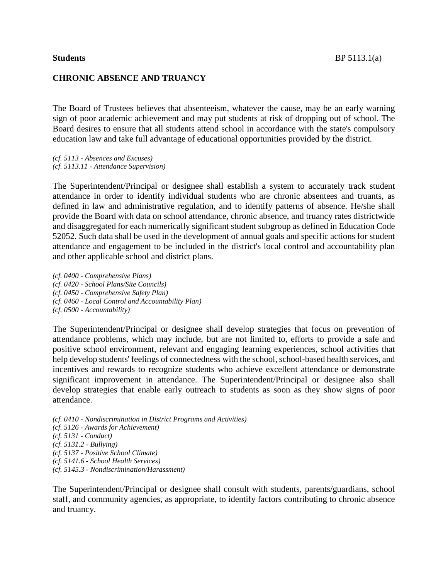The Board of Trustees believes that absenteeism, whatever the cause, may be an early warning sign of poor academic achievement and may put students at risk of dropping out of school. The Board desires to ensure that all students attend school in accordance with the state's compulsory education law and take full advantage of educational opportunities provided by the district.

*(cf. 5113 - Absences and Excuses) (cf. 5113.11 - Attendance Supervision)*

The Superintendent/Principal or designee shall establish a system to accurately track student attendance in order to identify individual students who are chronic absentees and truants, as defined in law and administrative regulation, and to identify patterns of absence. He/she shall provide the Board with data on school attendance, chronic absence, and truancy rates districtwide and disaggregated for each numerically significant student subgroup as defined in Education Code 52052. Such data shall be used in the development of annual goals and specific actions for student attendance and engagement to be included in the district's local control and accountability plan and other applicable school and district plans.

*(cf. 0400 - Comprehensive Plans) (cf. 0420 - School Plans/Site Councils) (cf. 0450 - Comprehensive Safety Plan) (cf. 0460 - Local Control and Accountability Plan) (cf. 0500 - Accountability)*

The Superintendent/Principal or designee shall develop strategies that focus on prevention of attendance problems, which may include, but are not limited to, efforts to provide a safe and positive school environment, relevant and engaging learning experiences, school activities that help develop students' feelings of connectedness with the school, school-based health services, and incentives and rewards to recognize students who achieve excellent attendance or demonstrate significant improvement in attendance. The Superintendent/Principal or designee also shall develop strategies that enable early outreach to students as soon as they show signs of poor attendance.

*(cf. 0410 - Nondiscrimination in District Programs and Activities) (cf. 5126 - Awards for Achievement) (cf. 5131 - Conduct) (cf. 5131.2 - Bullying) (cf. 5137 - Positive School Climate) (cf. 5141.6 - School Health Services) (cf. 5145.3 - Nondiscrimination/Harassment)*

The Superintendent/Principal or designee shall consult with students, parents/guardians, school staff, and community agencies, as appropriate, to identify factors contributing to chronic absence and truancy.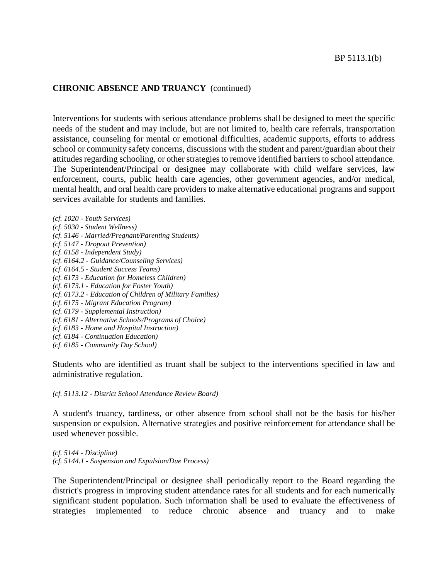## **CHRONIC ABSENCE AND TRUANCY** (continued)

Interventions for students with serious attendance problems shall be designed to meet the specific needs of the student and may include, but are not limited to, health care referrals, transportation assistance, counseling for mental or emotional difficulties, academic supports, efforts to address school or community safety concerns, discussions with the student and parent/guardian about their attitudes regarding schooling, or other strategies to remove identified barriers to school attendance. The Superintendent/Principal or designee may collaborate with child welfare services, law enforcement, courts, public health care agencies, other government agencies, and/or medical, mental health, and oral health care providers to make alternative educational programs and support services available for students and families.

*(cf. 1020 - Youth Services) (cf. 5030 - Student Wellness) (cf. 5146 - Married/Pregnant/Parenting Students) (cf. 5147 - Dropout Prevention) (cf. 6158 - Independent Study) (cf. 6164.2 - Guidance/Counseling Services) (cf. 6164.5 - Student Success Teams) (cf. 6173 - Education for Homeless Children) (cf. 6173.1 - Education for Foster Youth) (cf. 6173.2 - Education of Children of Military Families) (cf. 6175 - Migrant Education Program) (cf. 6179 - Supplemental Instruction) (cf. 6181 - Alternative Schools/Programs of Choice) (cf. 6183 - Home and Hospital Instruction) (cf. 6184 - Continuation Education) (cf. 6185 - Community Day School)*

Students who are identified as truant shall be subject to the interventions specified in law and administrative regulation.

*(cf. 5113.12 - District School Attendance Review Board)*

A student's truancy, tardiness, or other absence from school shall not be the basis for his/her suspension or expulsion. Alternative strategies and positive reinforcement for attendance shall be used whenever possible.

*(cf. 5144 - Discipline) (cf. 5144.1 - Suspension and Expulsion/Due Process)*

The Superintendent/Principal or designee shall periodically report to the Board regarding the district's progress in improving student attendance rates for all students and for each numerically significant student population. Such information shall be used to evaluate the effectiveness of strategies implemented to reduce chronic absence and truancy and to make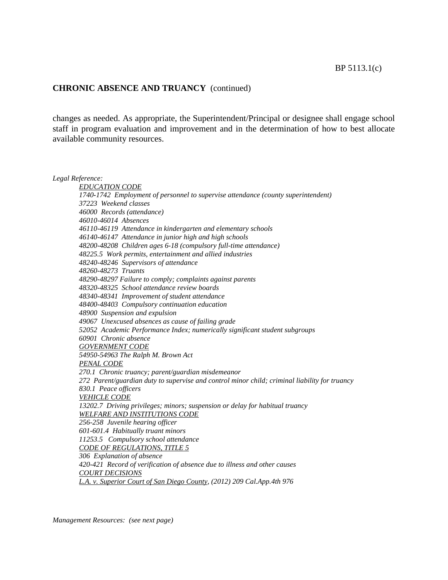### **CHRONIC ABSENCE AND TRUANCY** (continued)

changes as needed. As appropriate, the Superintendent/Principal or designee shall engage school staff in program evaluation and improvement and in the determination of how to best allocate available community resources.

*Legal Reference: EDUCATION CODE 1740-1742 Employment of personnel to supervise attendance (county superintendent) 37223 Weekend classes 46000 Records (attendance) 46010-46014 Absences 46110-46119 Attendance in kindergarten and elementary schools 46140-46147 Attendance in junior high and high schools 48200-48208 Children ages 6-18 (compulsory full-time attendance) 48225.5 Work permits, entertainment and allied industries 48240-48246 Supervisors of attendance 48260-48273 Truants 48290-48297 Failure to comply; complaints against parents 48320-48325 School attendance review boards 48340-48341 Improvement of student attendance 48400-48403 Compulsory continuation education 48900 Suspension and expulsion 49067 Unexcused absences as cause of failing grade 52052 Academic Performance Index; numerically significant student subgroups 60901 Chronic absence GOVERNMENT CODE 54950-54963 The Ralph M. Brown Act PENAL CODE 270.1 Chronic truancy; parent/guardian misdemeanor 272 Parent/guardian duty to supervise and control minor child; criminal liability for truancy 830.1 Peace officers VEHICLE CODE 13202.7 Driving privileges; minors; suspension or delay for habitual truancy WELFARE AND INSTITUTIONS CODE 256-258 Juvenile hearing officer 601-601.4 Habitually truant minors 11253.5 Compulsory school attendance CODE OF REGULATIONS, TITLE 5 306 Explanation of absence 420-421 Record of verification of absence due to illness and other causes COURT DECISIONS L.A. v. Superior Court of San Diego County, (2012) 209 Cal.App.4th 976*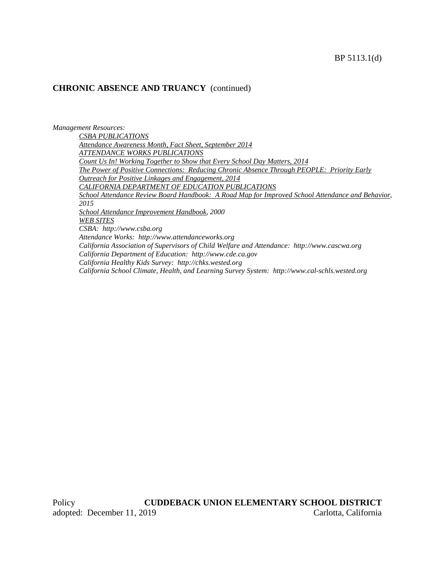## **CHRONIC ABSENCE AND TRUANCY** (continued)

*Management Resources:*

*CSBA PUBLICATIONS Attendance Awareness Month, Fact Sheet, September 2014 ATTENDANCE WORKS PUBLICATIONS Count Us In! Working Together to Show that Every School Day Matters, 2014 The Power of Positive Connections: Reducing Chronic Absence Through PEOPLE: Priority Early Outreach for Positive Linkages and Engagement, 2014 CALIFORNIA DEPARTMENT OF EDUCATION PUBLICATIONS School Attendance Review Board Handbook: A Road Map for Improved School Attendance and Behavior, 2015 School Attendance Improvement Handbook, 2000 WEB SITES CSBA: http://www.csba.org Attendance Works: http://www.attendanceworks.org California Association of Supervisors of Child Welfare and Attendance: http://www.cascwa.org California Department of Education: http://www.cde.ca.gov California Healthy Kids Survey: http://chks.wested.org California School Climate, Health, and Learning Survey System: http://www.cal-schls.wested.org*

Policy **CUDDEBACK UNION ELEMENTARY SCHOOL DISTRICT** adopted: December 11, 2019 Carlotta, California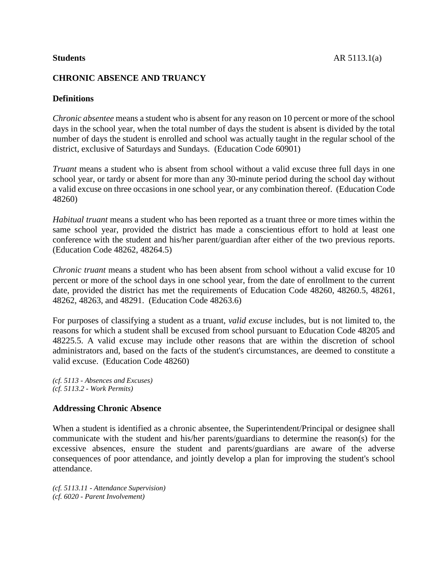# **CHRONIC ABSENCE AND TRUANCY**

# **Definitions**

*Chronic absentee* means a student who is absent for any reason on 10 percent or more of the school days in the school year, when the total number of days the student is absent is divided by the total number of days the student is enrolled and school was actually taught in the regular school of the district, exclusive of Saturdays and Sundays. (Education Code 60901)

*Truant* means a student who is absent from school without a valid excuse three full days in one school year, or tardy or absent for more than any 30-minute period during the school day without a valid excuse on three occasions in one school year, or any combination thereof. (Education Code 48260)

*Habitual truant* means a student who has been reported as a truant three or more times within the same school year, provided the district has made a conscientious effort to hold at least one conference with the student and his/her parent/guardian after either of the two previous reports. (Education Code 48262, 48264.5)

*Chronic truant* means a student who has been absent from school without a valid excuse for 10 percent or more of the school days in one school year, from the date of enrollment to the current date, provided the district has met the requirements of Education Code 48260, 48260.5, 48261, 48262, 48263, and 48291. (Education Code 48263.6)

For purposes of classifying a student as a truant, *valid excuse* includes, but is not limited to, the reasons for which a student shall be excused from school pursuant to Education Code 48205 and 48225.5. A valid excuse may include other reasons that are within the discretion of school administrators and, based on the facts of the student's circumstances, are deemed to constitute a valid excuse. (Education Code 48260)

*(cf. 5113 - Absences and Excuses) (cf. 5113.2 - Work Permits)*

## **Addressing Chronic Absence**

When a student is identified as a chronic absentee, the Superintendent/Principal or designee shall communicate with the student and his/her parents/guardians to determine the reason(s) for the excessive absences, ensure the student and parents/guardians are aware of the adverse consequences of poor attendance, and jointly develop a plan for improving the student's school attendance.

*(cf. 5113.11 - Attendance Supervision) (cf. 6020 - Parent Involvement)*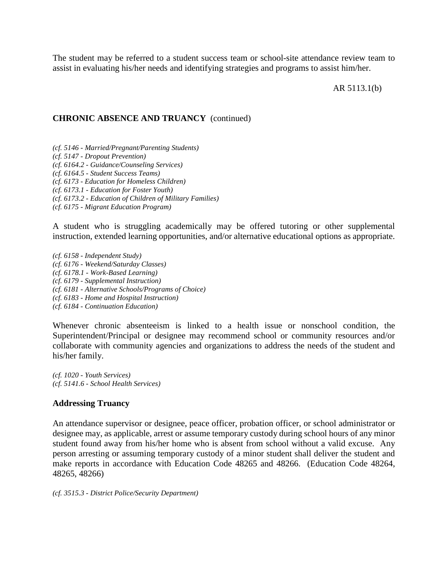The student may be referred to a student success team or school-site attendance review team to assist in evaluating his/her needs and identifying strategies and programs to assist him/her.

AR 5113.1(b)

#### **CHRONIC ABSENCE AND TRUANCY** (continued)

*(cf. 5146 - Married/Pregnant/Parenting Students)*

- *(cf. 5147 - Dropout Prevention)*
- *(cf. 6164.2 - Guidance/Counseling Services)*

*(cf. 6164.5 - Student Success Teams)*

*(cf. 6173 - Education for Homeless Children)*

*(cf. 6173.1 - Education for Foster Youth)*

*(cf. 6173.2 - Education of Children of Military Families)*

*(cf. 6175 - Migrant Education Program)*

A student who is struggling academically may be offered tutoring or other supplemental instruction, extended learning opportunities, and/or alternative educational options as appropriate.

*(cf. 6158 - Independent Study) (cf. 6176 - Weekend/Saturday Classes) (cf. 6178.1 - Work-Based Learning) (cf. 6179 - Supplemental Instruction) (cf. 6181 - Alternative Schools/Programs of Choice) (cf. 6183 - Home and Hospital Instruction) (cf. 6184 - Continuation Education)*

Whenever chronic absenteeism is linked to a health issue or nonschool condition, the Superintendent/Principal or designee may recommend school or community resources and/or collaborate with community agencies and organizations to address the needs of the student and his/her family.

*(cf. 1020 - Youth Services) (cf. 5141.6 - School Health Services)*

## **Addressing Truancy**

An attendance supervisor or designee, peace officer, probation officer, or school administrator or designee may, as applicable, arrest or assume temporary custody during school hours of any minor student found away from his/her home who is absent from school without a valid excuse. Any person arresting or assuming temporary custody of a minor student shall deliver the student and make reports in accordance with Education Code 48265 and 48266. (Education Code 48264, 48265, 48266)

*(cf. 3515.3 - District Police/Security Department)*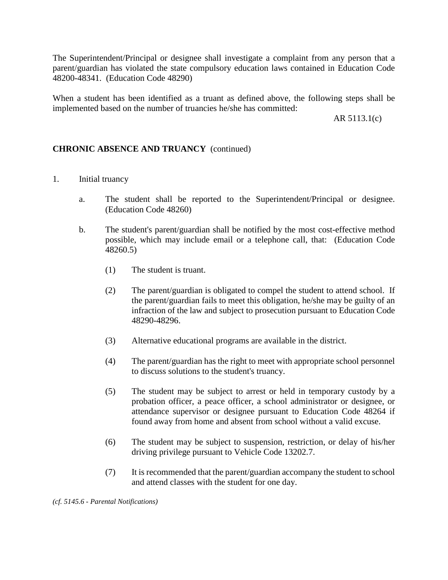The Superintendent/Principal or designee shall investigate a complaint from any person that a parent/guardian has violated the state compulsory education laws contained in Education Code 48200-48341. (Education Code 48290)

When a student has been identified as a truant as defined above, the following steps shall be implemented based on the number of truancies he/she has committed:

AR 5113.1(c)

## **CHRONIC ABSENCE AND TRUANCY** (continued)

- 1. Initial truancy
	- a. The student shall be reported to the Superintendent/Principal or designee. (Education Code 48260)
	- b. The student's parent/guardian shall be notified by the most cost-effective method possible, which may include email or a telephone call, that: (Education Code 48260.5)
		- (1) The student is truant.
		- (2) The parent/guardian is obligated to compel the student to attend school. If the parent/guardian fails to meet this obligation, he/she may be guilty of an infraction of the law and subject to prosecution pursuant to Education Code 48290-48296.
		- (3) Alternative educational programs are available in the district.
		- (4) The parent/guardian has the right to meet with appropriate school personnel to discuss solutions to the student's truancy.
		- (5) The student may be subject to arrest or held in temporary custody by a probation officer, a peace officer, a school administrator or designee, or attendance supervisor or designee pursuant to Education Code 48264 if found away from home and absent from school without a valid excuse.
		- (6) The student may be subject to suspension, restriction, or delay of his/her driving privilege pursuant to Vehicle Code 13202.7.
		- (7) It is recommended that the parent/guardian accompany the student to school and attend classes with the student for one day.

*(cf. 5145.6 - Parental Notifications)*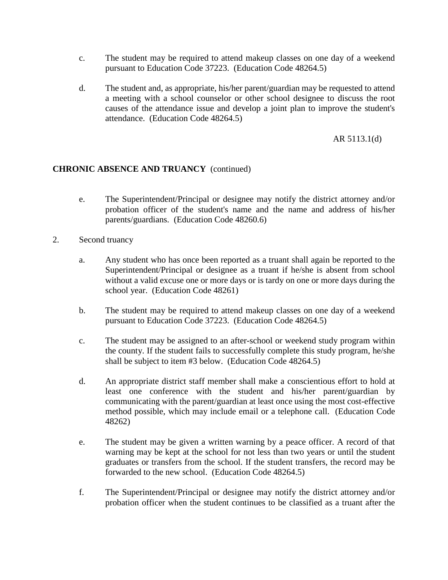- c. The student may be required to attend makeup classes on one day of a weekend pursuant to Education Code 37223. (Education Code 48264.5)
- d. The student and, as appropriate, his/her parent/guardian may be requested to attend a meeting with a school counselor or other school designee to discuss the root causes of the attendance issue and develop a joint plan to improve the student's attendance. (Education Code 48264.5)

AR 5113.1(d)

## **CHRONIC ABSENCE AND TRUANCY** (continued)

- e. The Superintendent/Principal or designee may notify the district attorney and/or probation officer of the student's name and the name and address of his/her parents/guardians. (Education Code 48260.6)
- 2. Second truancy
	- a. Any student who has once been reported as a truant shall again be reported to the Superintendent/Principal or designee as a truant if he/she is absent from school without a valid excuse one or more days or is tardy on one or more days during the school year. (Education Code 48261)
	- b. The student may be required to attend makeup classes on one day of a weekend pursuant to Education Code 37223. (Education Code 48264.5)
	- c. The student may be assigned to an after-school or weekend study program within the county. If the student fails to successfully complete this study program, he/she shall be subject to item #3 below. (Education Code 48264.5)
	- d. An appropriate district staff member shall make a conscientious effort to hold at least one conference with the student and his/her parent/guardian by communicating with the parent/guardian at least once using the most cost-effective method possible, which may include email or a telephone call. (Education Code 48262)
	- e. The student may be given a written warning by a peace officer. A record of that warning may be kept at the school for not less than two years or until the student graduates or transfers from the school. If the student transfers, the record may be forwarded to the new school. (Education Code 48264.5)
	- f. The Superintendent/Principal or designee may notify the district attorney and/or probation officer when the student continues to be classified as a truant after the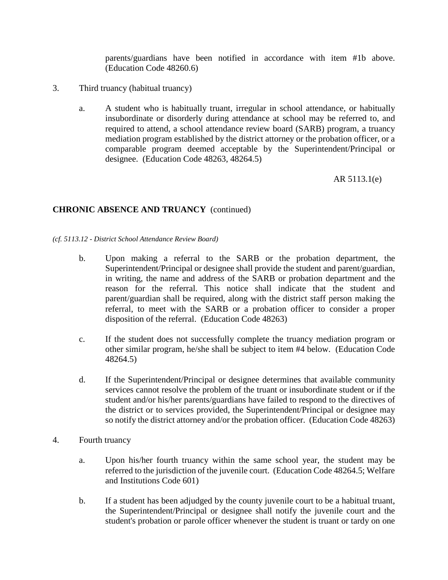parents/guardians have been notified in accordance with item #1b above. (Education Code 48260.6)

- 3. Third truancy (habitual truancy)
	- a. A student who is habitually truant, irregular in school attendance, or habitually insubordinate or disorderly during attendance at school may be referred to, and required to attend, a school attendance review board (SARB) program, a truancy mediation program established by the district attorney or the probation officer, or a comparable program deemed acceptable by the Superintendent/Principal or designee. (Education Code 48263, 48264.5)

AR 5113.1(e)

# **CHRONIC ABSENCE AND TRUANCY** (continued)

*(cf. 5113.12 - District School Attendance Review Board)*

- b. Upon making a referral to the SARB or the probation department, the Superintendent/Principal or designee shall provide the student and parent/guardian, in writing, the name and address of the SARB or probation department and the reason for the referral. This notice shall indicate that the student and parent/guardian shall be required, along with the district staff person making the referral, to meet with the SARB or a probation officer to consider a proper disposition of the referral. (Education Code 48263)
- c. If the student does not successfully complete the truancy mediation program or other similar program, he/she shall be subject to item #4 below. (Education Code 48264.5)
- d. If the Superintendent/Principal or designee determines that available community services cannot resolve the problem of the truant or insubordinate student or if the student and/or his/her parents/guardians have failed to respond to the directives of the district or to services provided, the Superintendent/Principal or designee may so notify the district attorney and/or the probation officer. (Education Code 48263)
- 4. Fourth truancy
	- a. Upon his/her fourth truancy within the same school year, the student may be referred to the jurisdiction of the juvenile court. (Education Code 48264.5; Welfare and Institutions Code 601)
	- b. If a student has been adjudged by the county juvenile court to be a habitual truant, the Superintendent/Principal or designee shall notify the juvenile court and the student's probation or parole officer whenever the student is truant or tardy on one